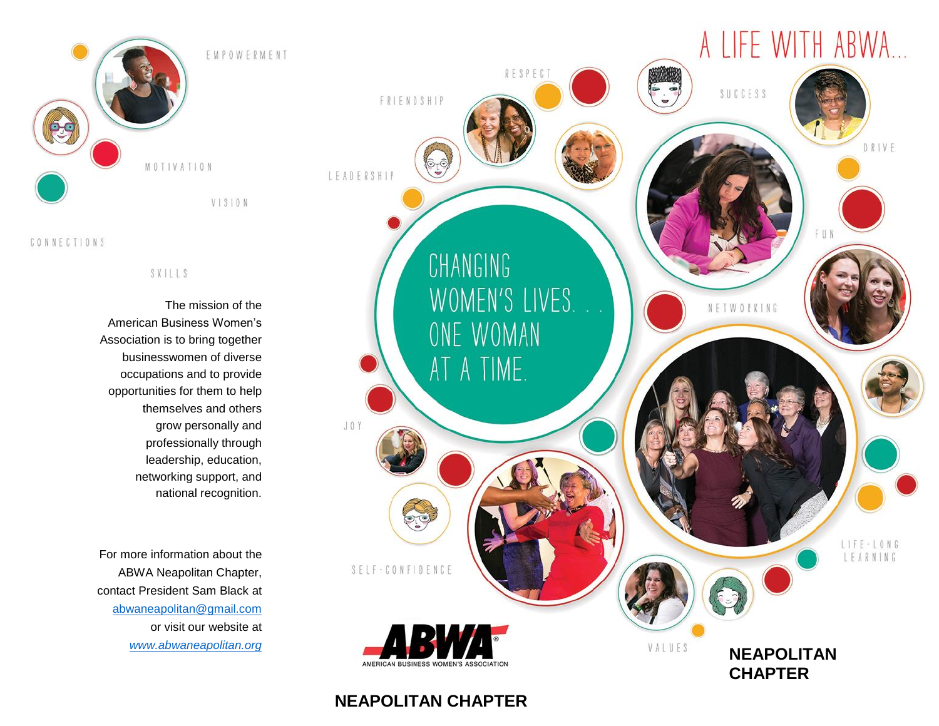

#### CONNECTIONS

### SKILLS

The mission of the American Business Women's Association is to bring together businesswomen of diverse occupations and to provide opportunities for them to help themselves and others grow personally and professionally through leadership, education, networking support, and national recognition.

For more information about the ABWA Neapolitan Chapter, contact President Sam Black at [abwaneapolitan@gmail.com](mailto:abwaneapolitan@gmail.com) or visit our website at *[www.abwaneapolitan.org](http://www.abwaneapolitan.org/)*



# **NEAPOLITAN CHAPTER**